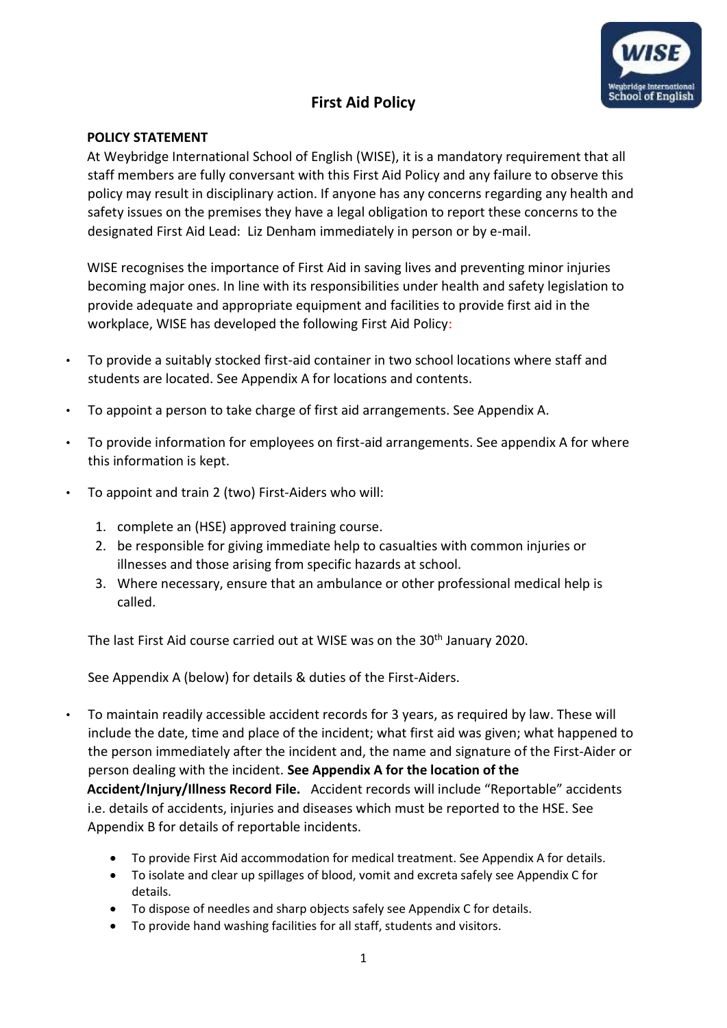

## **First Aid Policy**

### **POLICY STATEMENT**

At Weybridge International School of English (WISE), it is a mandatory requirement that all staff members are fully conversant with this First Aid Policy and any failure to observe this policy may result in disciplinary action. If anyone has any concerns regarding any health and safety issues on the premises they have a legal obligation to report these concerns to the designated First Aid Lead: Liz Denham immediately in person or by e-mail.

WISE recognises the importance of First Aid in saving lives and preventing minor injuries becoming major ones. In line with its responsibilities under health and safety legislation to provide adequate and appropriate equipment and facilities to provide first aid in the workplace, WISE has developed the following First Aid Policy:

- To provide a suitably stocked first-aid container in two school locations where staff and students are located. See Appendix A for locations and contents.
- To appoint a person to take charge of first aid arrangements. See Appendix A.
- To provide information for employees on first-aid arrangements. See appendix A for where this information is kept.
- To appoint and train 2 (two) First-Aiders who will:
	- 1. complete an (HSE) approved training course.
	- 2. be responsible for giving immediate help to casualties with common injuries or illnesses and those arising from specific hazards at school.
	- 3. Where necessary, ensure that an ambulance or other professional medical help is called.

The last First Aid course carried out at WISE was on the 30<sup>th</sup> January 2020.

See Appendix A (below) for details & duties of the First-Aiders.

• To maintain readily accessible accident records for 3 years, as required by law. These will include the date, time and place of the incident; what first aid was given; what happened to the person immediately after the incident and, the name and signature of the First-Aider or person dealing with the incident. **See Appendix A for the location of the** 

**Accident/Injury/Illness Record File.** Accident records will include "Reportable" accidents i.e. details of accidents, injuries and diseases which must be reported to the HSE. See Appendix B for details of reportable incidents.

- To provide First Aid accommodation for medical treatment. See Appendix A for details.
- To isolate and clear up spillages of blood, vomit and excreta safely see Appendix C for details.
- To dispose of needles and sharp objects safely see Appendix C for details.
- To provide hand washing facilities for all staff, students and visitors.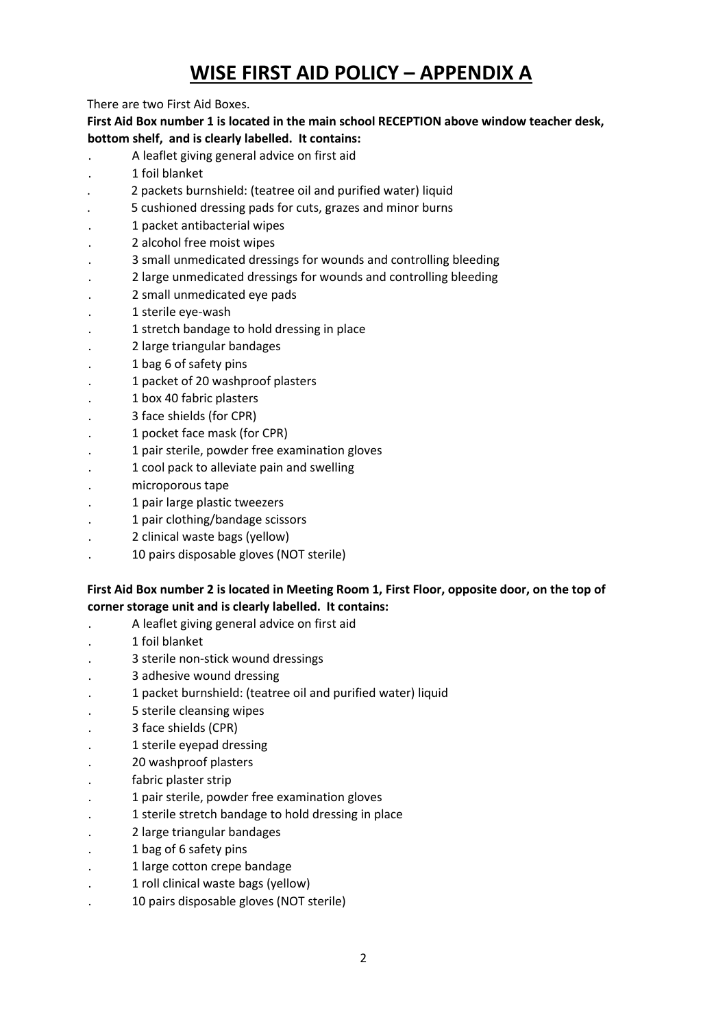# **WISE FIRST AID POLICY – APPENDIX A**

There are two First Aid Boxes.

**First Aid Box number 1 is located in the main school RECEPTION above window teacher desk, bottom shelf, and is clearly labelled. It contains:** 

- . A leaflet giving general advice on first aid
- . 1 foil blanket
- . 2 packets burnshield: (teatree oil and purified water) liquid
- . 5 cushioned dressing pads for cuts, grazes and minor burns
- . 1 packet antibacterial wipes
- . 2 alcohol free moist wipes
- . 3 small unmedicated dressings for wounds and controlling bleeding
- . 2 large unmedicated dressings for wounds and controlling bleeding
- . 2 small unmedicated eye pads
- . 1 sterile eye-wash
- . 1 stretch bandage to hold dressing in place
- . 2 large triangular bandages
- . 1 bag 6 of safety pins
- . 1 packet of 20 washproof plasters
- . 1 box 40 fabric plasters
- . 3 face shields (for CPR)
- . 1 pocket face mask (for CPR)
- . 1 pair sterile, powder free examination gloves
- . 1 cool pack to alleviate pain and swelling
- . microporous tape
- . 1 pair large plastic tweezers
- . 1 pair clothing/bandage scissors
- . 2 clinical waste bags (yellow)
- . 10 pairs disposable gloves (NOT sterile)

### **First Aid Box number 2 is located in Meeting Room 1, First Floor, opposite door, on the top of corner storage unit and is clearly labelled. It contains:**

- . A leaflet giving general advice on first aid
- . 1 foil blanket
- . 3 sterile non-stick wound dressings
- . 3 adhesive wound dressing
- . 1 packet burnshield: (teatree oil and purified water) liquid
- . 5 sterile cleansing wipes
- . 3 face shields (CPR)
- . 1 sterile eyepad dressing
- . 20 washproof plasters
- fabric plaster strip
- . 1 pair sterile, powder free examination gloves
- . 1 sterile stretch bandage to hold dressing in place
- . 2 large triangular bandages
- . 1 bag of 6 safety pins
- . 1 large cotton crepe bandage
- . 1 roll clinical waste bags (yellow)
- . 10 pairs disposable gloves (NOT sterile)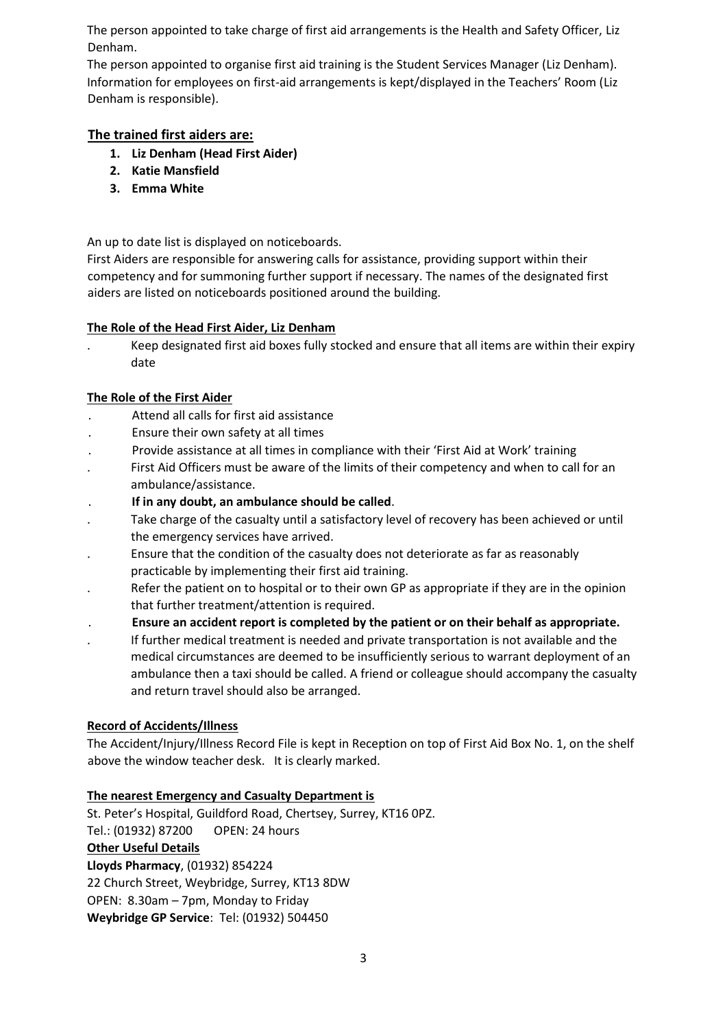The person appointed to take charge of first aid arrangements is the Health and Safety Officer, Liz Denham.

The person appointed to organise first aid training is the Student Services Manager (Liz Denham). Information for employees on first-aid arrangements is kept/displayed in the Teachers' Room (Liz Denham is responsible).

## **The trained first aiders are:**

- **1. Liz Denham (Head First Aider)**
- **2. Katie Mansfield**
- **3. Emma White**

An up to date list is displayed on noticeboards.

First Aiders are responsible for answering calls for assistance, providing support within their competency and for summoning further support if necessary. The names of the designated first aiders are listed on noticeboards positioned around the building.

#### **The Role of the Head First Aider, Liz Denham**

. Keep designated first aid boxes fully stocked and ensure that all items are within their expiry date

#### **The Role of the First Aider**

- . Attend all calls for first aid assistance
- . Ensure their own safety at all times
- . Provide assistance at all times in compliance with their 'First Aid at Work' training
- . First Aid Officers must be aware of the limits of their competency and when to call for an ambulance/assistance.
- . **If in any doubt, an ambulance should be called**.
- Take charge of the casualty until a satisfactory level of recovery has been achieved or until the emergency services have arrived.
- . Ensure that the condition of the casualty does not deteriorate as far as reasonably practicable by implementing their first aid training.
- Refer the patient on to hospital or to their own GP as appropriate if they are in the opinion that further treatment/attention is required.
- . **Ensure an accident report is completed by the patient or on their behalf as appropriate.**
- . If further medical treatment is needed and private transportation is not available and the medical circumstances are deemed to be insufficiently serious to warrant deployment of an ambulance then a taxi should be called. A friend or colleague should accompany the casualty and return travel should also be arranged.

### **Record of Accidents/Illness**

The Accident/Injury/Illness Record File is kept in Reception on top of First Aid Box No. 1, on the shelf above the window teacher desk. It is clearly marked.

### **The nearest Emergency and Casualty Department is**

St. Peter's Hospital, Guildford Road, Chertsey, Surrey, KT16 0PZ. Tel.: (01932) 87200 OPEN: 24 hours

#### **Other Useful Details**

**Lloyds Pharmacy**, (01932) 854224

22 Church Street, Weybridge, Surrey, KT13 8DW

OPEN: 8.30am – 7pm, Monday to Friday

**Weybridge GP Service**: Tel: (01932) 504450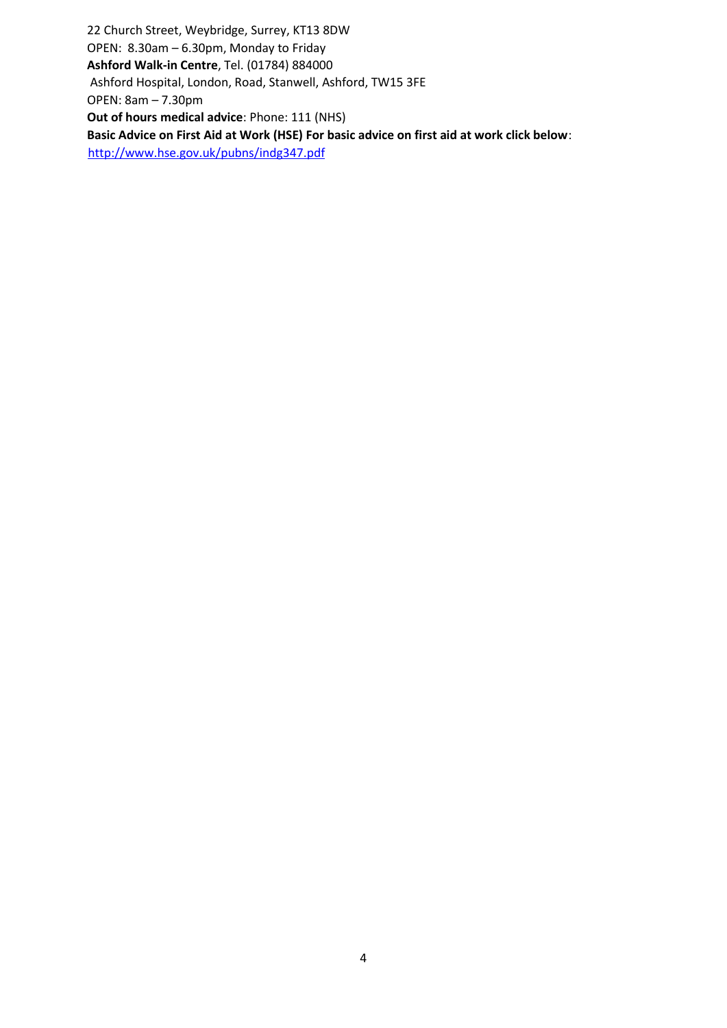22 Church Street, Weybridge, Surrey, KT13 8DW OPEN: 8.30am – 6.30pm, Monday to Friday **Ashford Walk-in Centre**, Tel. (01784) 884000 Ashford Hospital, London, Road, Stanwell, Ashford, TW15 3FE OPEN: 8am – 7.30pm **Out of hours medical advice**: Phone: 111 (NHS) **Basic Advice on First Aid at Work (HSE) For basic advice on first aid at work click below**: <http://www.hse.gov.uk/pubns/indg347.pdf>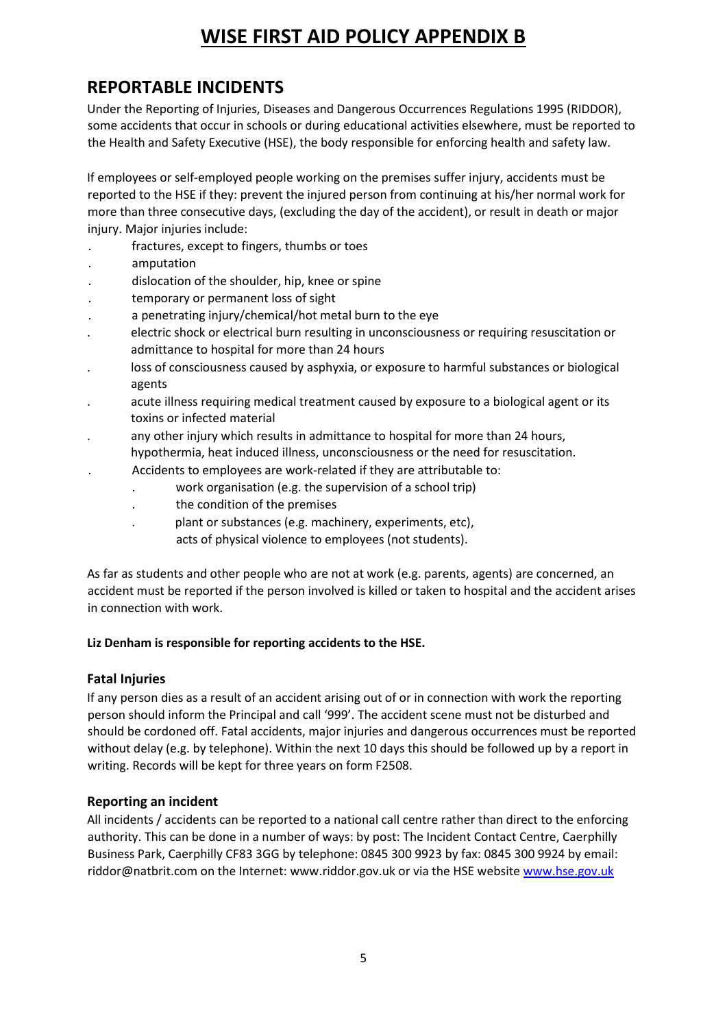## **WISE FIRST AID POLICY APPENDIX B**

## **REPORTABLE INCIDENTS**

Under the Reporting of Injuries, Diseases and Dangerous Occurrences Regulations 1995 (RIDDOR), some accidents that occur in schools or during educational activities elsewhere, must be reported to the Health and Safety Executive (HSE), the body responsible for enforcing health and safety law.

If employees or self-employed people working on the premises suffer injury, accidents must be reported to the HSE if they: prevent the injured person from continuing at his/her normal work for more than three consecutive days, (excluding the day of the accident), or result in death or major injury. Major injuries include:

- . fractures, except to fingers, thumbs or toes
- . amputation
- dislocation of the shoulder, hip, knee or spine
- . temporary or permanent loss of sight
- . a penetrating injury/chemical/hot metal burn to the eye
- . electric shock or electrical burn resulting in unconsciousness or requiring resuscitation or admittance to hospital for more than 24 hours
- . loss of consciousness caused by asphyxia, or exposure to harmful substances or biological agents
- . acute illness requiring medical treatment caused by exposure to a biological agent or its toxins or infected material
- any other injury which results in admittance to hospital for more than 24 hours,
	- hypothermia, heat induced illness, unconsciousness or the need for resuscitation.
		- . Accidents to employees are work-related if they are attributable to:
			- . work organisation (e.g. the supervision of a school trip)
			- . the condition of the premises
			- . plant or substances (e.g. machinery, experiments, etc),
				- acts of physical violence to employees (not students).

As far as students and other people who are not at work (e.g. parents, agents) are concerned, an accident must be reported if the person involved is killed or taken to hospital and the accident arises in connection with work.

### **Liz Denham is responsible for reporting accidents to the HSE.**

## **Fatal Injuries**

If any person dies as a result of an accident arising out of or in connection with work the reporting person should inform the Principal and call '999'. The accident scene must not be disturbed and should be cordoned off. Fatal accidents, major injuries and dangerous occurrences must be reported without delay (e.g. by telephone). Within the next 10 days this should be followed up by a report in writing. Records will be kept for three years on form F2508.

## **Reporting an incident**

All incidents / accidents can be reported to a national call centre rather than direct to the enforcing authority. This can be done in a number of ways: by post: The Incident Contact Centre, Caerphilly Business Park, Caerphilly CF83 3GG by telephone: 0845 300 9923 by fax: 0845 300 9924 by email: riddor@natbrit.com on the Internet: www.riddor.gov.uk or via the HSE websit[e www.hse.gov.uk](http://www.hse.gov.uk/)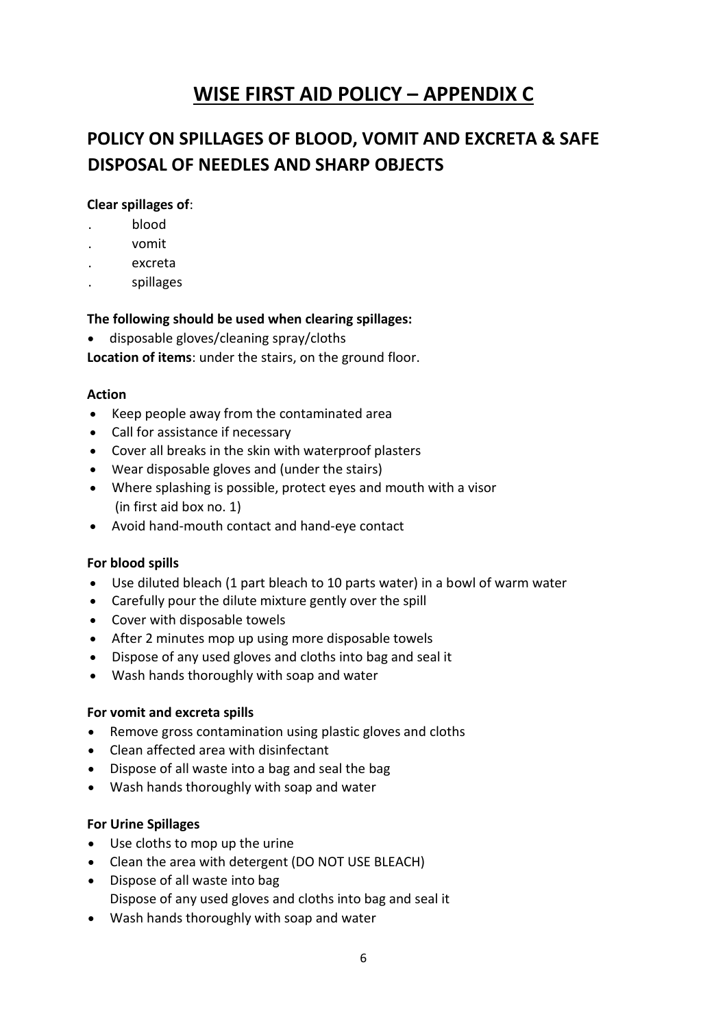## **WISE FIRST AID POLICY – APPENDIX C**

## **POLICY ON SPILLAGES OF BLOOD, VOMIT AND EXCRETA & SAFE DISPOSAL OF NEEDLES AND SHARP OBJECTS**

### **Clear spillages of**:

- . blood
- . vomit
- . excreta
- . spillages

### **The following should be used when clearing spillages:**

• disposable gloves/cleaning spray/cloths

**Location of items**: under the stairs, on the ground floor.

### **Action**

- Keep people away from the contaminated area
- Call for assistance if necessary
- Cover all breaks in the skin with waterproof plasters
- Wear disposable gloves and (under the stairs)
- Where splashing is possible, protect eyes and mouth with a visor (in first aid box no. 1)
- Avoid hand-mouth contact and hand-eye contact

## **For blood spills**

- Use diluted bleach (1 part bleach to 10 parts water) in a bowl of warm water
- Carefully pour the dilute mixture gently over the spill
- Cover with disposable towels
- After 2 minutes mop up using more disposable towels
- Dispose of any used gloves and cloths into bag and seal it
- Wash hands thoroughly with soap and water

### **For vomit and excreta spills**

- Remove gross contamination using plastic gloves and cloths
- Clean affected area with disinfectant
- Dispose of all waste into a bag and seal the bag
- Wash hands thoroughly with soap and water

## **For Urine Spillages**

- Use cloths to mop up the urine
- Clean the area with detergent (DO NOT USE BLEACH)
- Dispose of all waste into bag Dispose of any used gloves and cloths into bag and seal it
- Wash hands thoroughly with soap and water